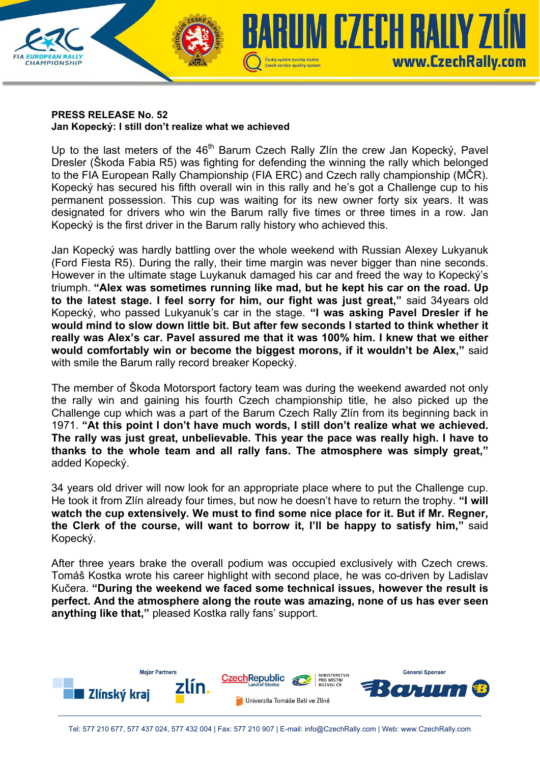

## **PRESS RELEASE No. 52 Jan Kopecký: I still don't realize what we achieved**

Up to the last meters of the 46<sup>th</sup> Barum Czech Rally Zlín the crew Jan Kopecký, Pavel Dresler (Škoda Fabia R5) was fighting for defending the winning the rally which belonged to the FIA European Rally Championship (FIA ERC) and Czech rally championship (MČR). Kopecký has secured his fifth overall win in this rally and he's got a Challenge cup to his permanent possession. This cup was waiting for its new owner forty six years. It was designated for drivers who win the Barum rally five times or three times in a row. Jan Kopecký is the first driver in the Barum rally history who achieved this.

Jan Kopecký was hardly battling over the whole weekend with Russian Alexey Lukyanuk (Ford Fiesta R5). During the rally, their time margin was never bigger than nine seconds. However in the ultimate stage Luykanuk damaged his car and freed the way to Kopecký's triumph. **"Alex was sometimes running like mad, but he kept his car on the road. Up to the latest stage. I feel sorry for him, our fight was just great,"** said 34years old Kopecký, who passed Lukyanuk's car in the stage. **"I was asking Pavel Dresler if he would mind to slow down little bit. But after few seconds I started to think whether it really was Alex's car. Pavel assured me that it was 100% him. I knew that we either would comfortably win or become the biggest morons, if it wouldn't be Alex,"** said with smile the Barum rally record breaker Kopecký.

The member of Škoda Motorsport factory team was during the weekend awarded not only the rally win and gaining his fourth Czech championship title, he also picked up the Challenge cup which was a part of the Barum Czech Rally Zlín from its beginning back in 1971. **"At this point I don't have much words, I still don't realize what we achieved. The rally was just great, unbelievable. This year the pace was really high. I have to thanks to the whole team and all rally fans. The atmosphere was simply great,"**  added Kopecký.

34 years old driver will now look for an appropriate place where to put the Challenge cup. He took it from Zlín already four times, but now he doesn't have to return the trophy. **"I will watch the cup extensively. We must to find some nice place for it. But if Mr. Regner, the Clerk of the course, will want to borrow it, I'll be happy to satisfy him,"** said Kopecký.

After three years brake the overall podium was occupied exclusively with Czech crews. Tomáš Kostka wrote his career highlight with second place, he was co-driven by Ladislav Kučera. **"During the weekend we faced some technical issues, however the result is perfect. And the atmosphere along the route was amazing, none of us has ever seen anything like that,"** pleased Kostka rally fans' support.